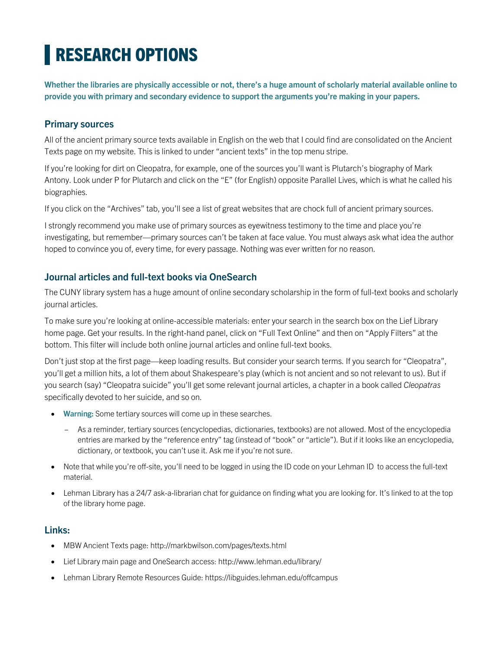# **RESEARCH OPTIONS**

**Whether the libraries are physically accessible or not, there's a huge amount of scholarly material available online to provide you with primary and secondary evidence to support the arguments you're making in your papers.**

## **Primary sources**

All of the ancient primary source texts available in English on the web that I could find are consolidated on the Ancient Texts page on my website. This is linked to under "ancient texts" in the top menu stripe.

If you're looking for dirt on Cleopatra, for example, one of the sources you'll want is Plutarch's biography of Mark Antony. Look under P for Plutarch and click on the "E" (for English) opposite Parallel Lives, which is what he called his biographies.

If you click on the "Archives" tab, you'll see a list of great websites that are chock full of ancient primary sources.

I strongly recommend you make use of primary sources as eyewitness testimony to the time and place you're investigating, but remember—primary sources can't be taken at face value. You must always ask what idea the author hoped to convince you of, every time, for every passage. Nothing was ever written for no reason.

### **Journal articles and full-text books via OneSearch**

The CUNY library system has a huge amount of online secondary scholarship in the form of full-text books and scholarly journal articles.

To make sure you're looking at online-accessible materials: enter your search in the search box on the Lief Library home page. Get your results. In the right-hand panel, click on "Full Text Online" and then on "Apply Filters" at the bottom. This filter will include both online journal articles and online full-text books.

Don't just stop at the first page—keep loading results. But consider your search terms. If you search for "Cleopatra", you'll get a million hits, a lot of them about Shakespeare's play (which is not ancient and so not relevant to us). But if you search (say) "Cleopatra suicide" you'll get some relevant journal articles, a chapter in a book called *Cleopatras* specifically devoted to her suicide, and so on.

- **Warning:** Some tertiary sources will come up in these searches.
	- As a reminder, tertiary sources (encyclopedias, dictionaries, textbooks) are not allowed. Most of the encyclopedia entries are marked by the "reference entry" tag (instead of "book" or "article"). But if it looks like an encyclopedia, dictionary, or textbook, you can't use it. Ask me if you're not sure.
- Note that while you're off-site, you'll need to be logged in using the ID code on your Lehman ID to access the full-text material.
- Lehman Library has a 24/7 ask-a-librarian chat for guidance on finding what you are looking for. It's linked to at the top of the library home page.

### **Links:**

- MBW Ancient Texts page: http://markbwilson.com/pages/texts.html
- Lief Library main page and OneSearch access: http://www.lehman.edu/library/
- Lehman Library Remote Resources Guide: https://libguides.lehman.edu/offcampus